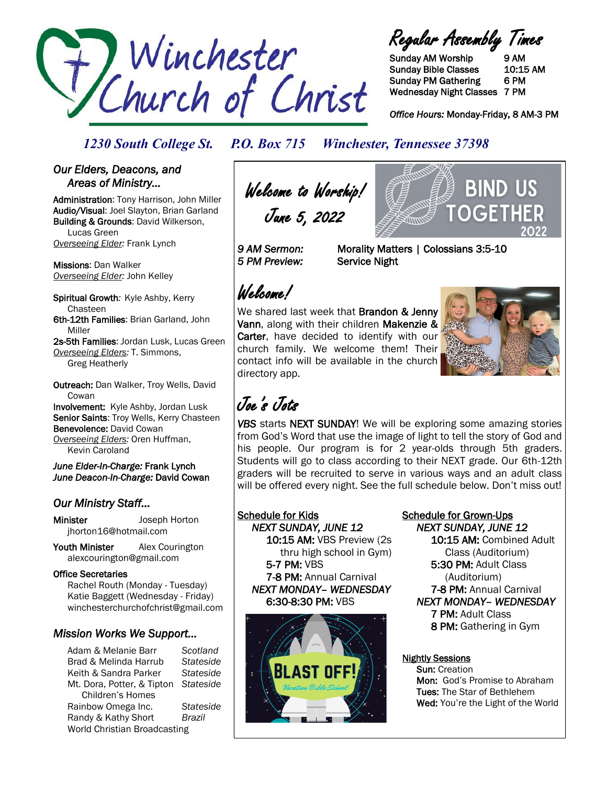

Regular Assembly Times

Sunday AM Worship 9 AM Sunday Bible Classes 10:15 AM Sunday PM Gathering 6 PM Wednesday Night Classes 7 PM

*Office Hours:* Monday-Friday, 8 AM-3 PM

#### *1230 South College St. P.O. Box 715 Winchester, Tennessee 37398*

#### *Our Elders, Deacons, and Areas of Ministry…*

Administration: Tony Harrison, John Miller Audio/Visual: Joel Slayton, Brian Garland Building & Grounds: David Wilkerson, Lucas Green *Overseeing Elder:* Frank Lynch

Missions: Dan Walker *Overseeing Elder:* John Kelley

Spiritual Growth*:* Kyle Ashby, Kerry Chasteen 6th-12th Families: Brian Garland, John Miller

2s-5th Families: Jordan Lusk, Lucas Green *Overseeing Elders:* T. Simmons, Greg Heatherly

Outreach: Dan Walker, Troy Wells, David **Cowan** Involvement: Kyle Ashby, Jordan Lusk Senior Saints: Troy Wells, Kerry Chasteen Benevolence: David Cowan

*Overseeing Elders:* Oren Huffman, Kevin Caroland

*June Elder-In-Charge:* Frank Lynch *June Deacon-In-Charge:* David Cowan

### *Our Ministry Staff…*

Minister Joseph Horton jhorton16@hotmail.com

Youth Minister Alex Courington alexcourington@gmail.com

#### Office Secretaries

 Rachel Routh (Monday - Tuesday) Katie Baggett (Wednesday - Friday) winchesterchurchofchrist@gmail.com

### *Mission Works We Support…*

Adam & Melanie Barr *Scotland* Brad & Melinda Harrub *Stateside* Keith & Sandra Parker *Stateside* Mt. Dora, Potter, & Tipton *Stateside* Children's Homes Rainbow Omega Inc. *Stateside* Randy & Kathy Short *Brazil* World Christian Broadcasting

Welcome to Worship! June 5, 2022

*5 PM Preview:* Service Night

*9 AM Sermon:* Morality Matters | Colossians 3:5-10

# Welcome!

We shared last week that Brandon & Jenny Vann, along with their children Makenzie & Carter, have decided to identify with our church family. We welcome them! Their contact info will be available in the church directory app.



**BIND US** 

OGFTI

# Joe's Jots

*VBS* starts NEXT SUNDAY! We will be exploring some amazing stories from God's Word that use the image of light to tell the story of God and his people. Our program is for 2 year-olds through 5th graders. Students will go to class according to their NEXT grade. Our 6th-12th graders will be recruited to serve in various ways and an adult class will be offered every night. See the full schedule below. Don't miss out!

### Schedule for Kids

 *NEXT SUNDAY, JUNE 12*  10:15 AM: VBS Preview (2s thru high school in Gym) 5-7 PM: VBS 7-8 PM: Annual Carnival *NEXT MONDAY– WEDNESDAY* 6:30-8:30 PM: VBS



#### Schedule for Grown-Ups  *NEXT SUNDAY, JUNE 12*

 10:15 AM: Combined Adult Class (Auditorium) 5:30 PM: Adult Class (Auditorium) 7-8 PM: Annual Carnival *NEXT MONDAY– WEDNESDAY*  7 PM: Adult Class 8 PM: Gathering in Gym

#### Nightly Sessions

 Sun: Creation Mon: God's Promise to Abraham Tues: The Star of Bethlehem Wed: You're the Light of the World